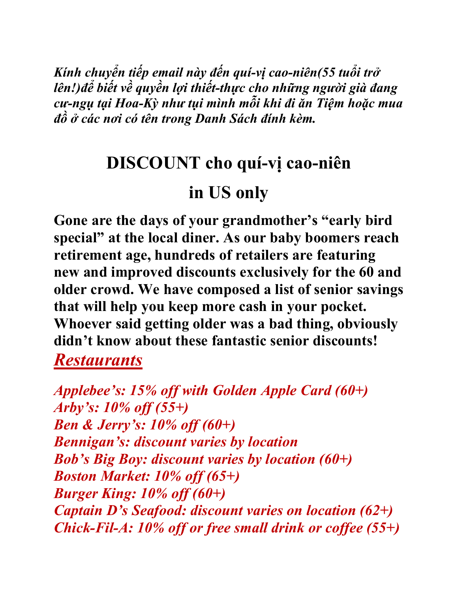*Kính chuyển tiếp email này đến quí-vị cao-niên(55 tuổi trở lên!)để biết về quyền lợi thiết-thực cho những người già đang cư-ngụ tại Hoa-Kỳ như tụi mình mỗi khi đi ăn Tiệm hoặc mua đồ ở các nơi có tên trong Danh Sách đính kèm.* 

## **DISCOUNT cho quí-vị cao-niên**

## **in US only**

**Gone are the days of your grandmother's "early bird special" at the local diner. As our baby boomers reach retirement age, hundreds of retailers are featuring new and improved discounts exclusively for the 60 and older crowd. We have composed a list of senior savings that will help you keep more cash in your pocket. Whoever said getting older was a bad thing, obviously didn't know about these fantastic senior discounts!** *Restaurants*

*Applebee's: 15% off with Golden Apple Card (60+) Arby's: 10% off (55+) Ben & Jerry's: 10% off (60+) Bennigan's: discount varies by location Bob's Big Boy: discount varies by location (60+) Boston Market: 10% off (65+) Burger King: 10% off (60+) Captain D's Seafood: discount varies on location (62+) Chick-Fil-A: 10% off or free small drink or coffee (55+)*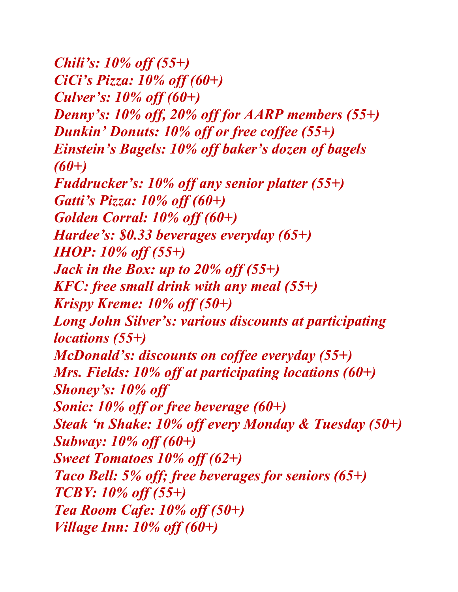*Chili's: 10% off (55+) CiCi's Pizza: 10% off (60+) Culver's: 10% off (60+) Denny's: 10% off, 20% off for AARP members (55+) Dunkin' Donuts: 10% off or free coffee (55+) Einstein's Bagels: 10% off baker's dozen of bagels (60+) Fuddrucker's: 10% off any senior platter (55+) Gatti's Pizza: 10% off (60+) Golden Corral: 10% off (60+) Hardee's: \$0.33 beverages everyday (65+) IHOP: 10% off (55+) Jack in the Box: up to 20% off (55+) KFC: free small drink with any meal (55+) Krispy Kreme: 10% off (50+) Long John Silver's: various discounts at participating locations (55+) McDonald's: discounts on coffee everyday (55+) Mrs. Fields: 10% off at participating locations (60+) Shoney's: 10% off Sonic: 10% off or free beverage (60+) Steak 'n Shake: 10% off every Monday & Tuesday (50+) Subway: 10% off (60+) Sweet Tomatoes 10% off (62+) Taco Bell: 5% off; free beverages for seniors (65+) TCBY: 10% off (55+) Tea Room Cafe: 10% off (50+) Village Inn: 10% off (60+)*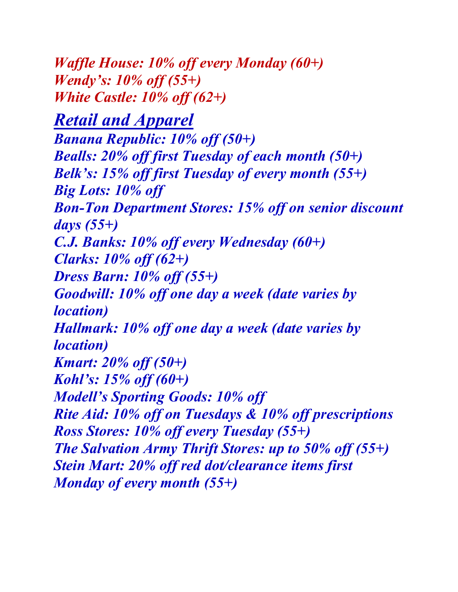*Waffle House: 10% off every Monday (60+) Wendy's: 10% off (55+) White Castle: 10% off (62+)*

*Retail and Apparel Banana Republic: 10% off (50+) Bealls: 20% off first Tuesday of each month (50+) Belk's: 15% off first Tuesday of every month (55+) Big Lots: 10% off Bon-Ton Department Stores: 15% off on senior discount days (55+) C.J. Banks: 10% off every Wednesday (60+) Clarks: 10% off (62+) Dress Barn: 10% off (55+) Goodwill: 10% off one day a week (date varies by location) Hallmark: 10% off one day a week (date varies by location) Kmart: 20% off (50+) Kohl's: 15% off (60+) Modell's Sporting Goods: 10% off Rite Aid: 10% off on Tuesdays & 10% off prescriptions Ross Stores: 10% off every Tuesday (55+) The Salvation Army Thrift Stores: up to 50% off (55+) Stein Mart: 20% off red dot/clearance items first Monday of every month (55+)*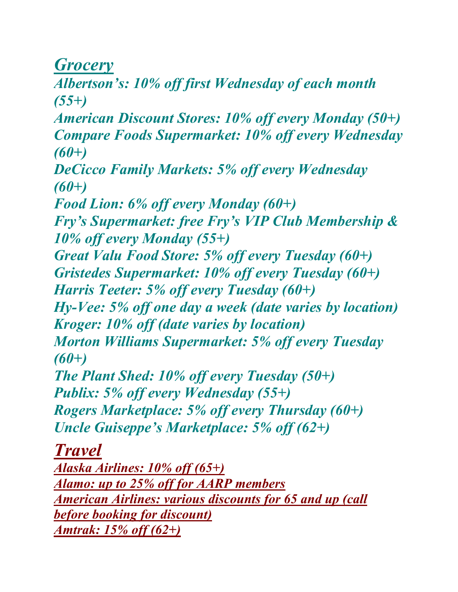*Grocery*

*Albertson's: 10% off first Wednesday of each month (55+)* 

*American Discount Stores: 10% off every Monday (50+) Compare Foods Supermarket: 10% off every Wednesday (60+)* 

*DeCicco Family Markets: 5% off every Wednesday (60+)* 

*Food Lion: 6% off every Monday (60+)* 

*Fry's Supermarket: free Fry's VIP Club Membership & 10% off every Monday (55+)* 

*Great Valu Food Store: 5% off every Tuesday (60+) Gristedes Supermarket: 10% off every Tuesday (60+) Harris Teeter: 5% off every Tuesday (60+)* 

*Hy-Vee: 5% off one day a week (date varies by location) Kroger: 10% off (date varies by location)* 

*Morton Williams Supermarket: 5% off every Tuesday (60+)* 

*The Plant Shed: 10% off every Tuesday (50+) Publix: 5% off every Wednesday (55+) Rogers Marketplace: 5% off every Thursday (60+) Uncle Guiseppe's Marketplace: 5% off (62+)*

*Travel*

*Alaska Airlines: 10% off (65+) Alamo: up to 25% off for AARP members American Airlines: various discounts for 65 and up (call before booking for discount) Amtrak: 15% off (62+)*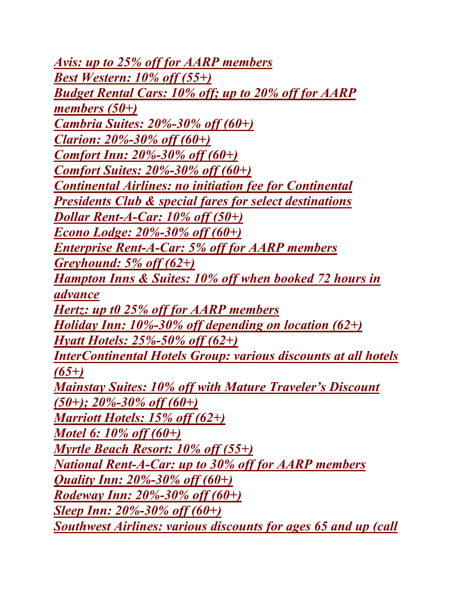*Avis: up to 25% off for AARP members Best Western: 10% off (55+) Budget Rental Cars: 10% off; up to 20% off for AARP members (50+) Cambria Suites: 20%-30% off (60+) Clarion: 20%-30% off (60+) Comfort Inn: 20%-30% off (60+) Comfort Suites: 20%-30% off (60+) Continental Airlines: no initiation fee for Continental Presidents Club & special fares for select destinations Dollar Rent-A-Car: 10% off (50+) Econo Lodge: 20%-30% off (60+) Enterprise Rent-A-Car: 5% off for AARP members Greyhound: 5% off (62+) Hampton Inns & Suites: 10% off when booked 72 hours in advance Hertz: up t0 25% off for AARP members Holiday Inn: 10%-30% off depending on location (62+) Hyatt Hotels: 25%-50% off (62+) InterContinental Hotels Group: various discounts at all hotels (65+) Mainstay Suites: 10% off with Mature Traveler's Discount (50+); 20%-30% off (60+) Marriott Hotels: 15% off (62+) Motel 6: 10% off (60+) Myrtle Beach Resort: 10% off (55+) National Rent-A-Car: up to 30% off for AARP members Quality Inn: 20%-30% off (60+) Rodeway Inn: 20%-30% off (60+) Sleep Inn: 20%-30% off (60+) Southwest Airlines: various discounts for ages 65 and up (call*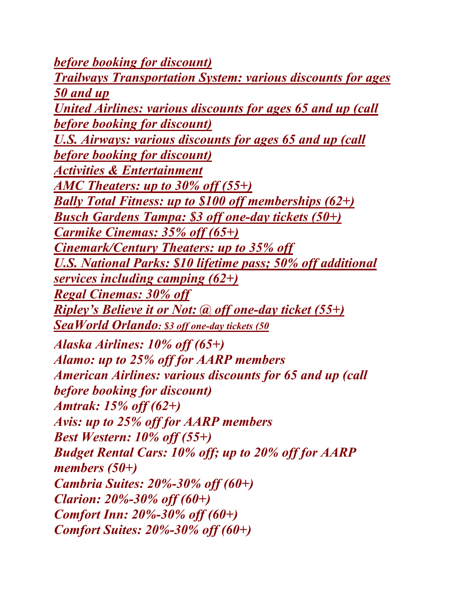*before booking for discount) Trailways Transportation System: various discounts for ages 50 and up United Airlines: various discounts for ages 65 and up (call before booking for discount) U.S. Airways: various discounts for ages 65 and up (call before booking for discount) Activities & Entertainment AMC Theaters: up to 30% off (55+) Bally Total Fitness: up to \$100 off memberships (62+) Busch Gardens Tampa: \$3 off one-day tickets (50+) Carmike Cinemas: 35% off (65+) Cinemark/Century Theaters: up to 35% off U.S. National Parks: \$10 lifetime pass; 50% off additional services including camping (62+) Regal Cinemas: 30% off Ripley's Believe it or Not: @ off one-day ticket (55+) SeaWorld Orlando: \$3 off one-day tickets (50 Alaska Airlines: 10% off (65+) Alamo: up to 25% off for AARP members American Airlines: various discounts for 65 and up (call before booking for discount) Amtrak: 15% off (62+) Avis: up to 25% off for AARP members Best Western: 10% off (55+) Budget Rental Cars: 10% off; up to 20% off for AARP members (50+) Cambria Suites: 20%-30% off (60+) Clarion: 20%-30% off (60+) Comfort Inn: 20%-30% off (60+) Comfort Suites: 20%-30% off (60+)*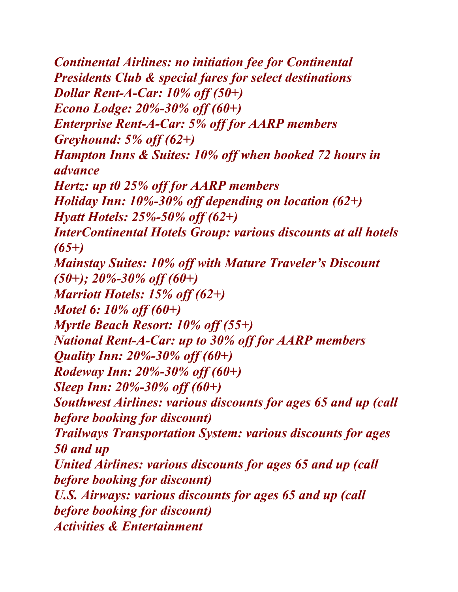*Continental Airlines: no initiation fee for Continental Presidents Club & special fares for select destinations Dollar Rent-A-Car: 10% off (50+) Econo Lodge: 20%-30% off (60+) Enterprise Rent-A-Car: 5% off for AARP members Greyhound: 5% off (62+) Hampton Inns & Suites: 10% off when booked 72 hours in advance Hertz: up t0 25% off for AARP members Holiday Inn: 10%-30% off depending on location (62+) Hyatt Hotels: 25%-50% off (62+) InterContinental Hotels Group: various discounts at all hotels (65+) Mainstay Suites: 10% off with Mature Traveler's Discount (50+); 20%-30% off (60+) Marriott Hotels: 15% off (62+) Motel 6: 10% off (60+) Myrtle Beach Resort: 10% off (55+) National Rent-A-Car: up to 30% off for AARP members Quality Inn: 20%-30% off (60+) Rodeway Inn: 20%-30% off (60+) Sleep Inn: 20%-30% off (60+) Southwest Airlines: various discounts for ages 65 and up (call before booking for discount) Trailways Transportation System: various discounts for ages 50 and up United Airlines: various discounts for ages 65 and up (call before booking for discount) U.S. Airways: various discounts for ages 65 and up (call before booking for discount) Activities & Entertainment*